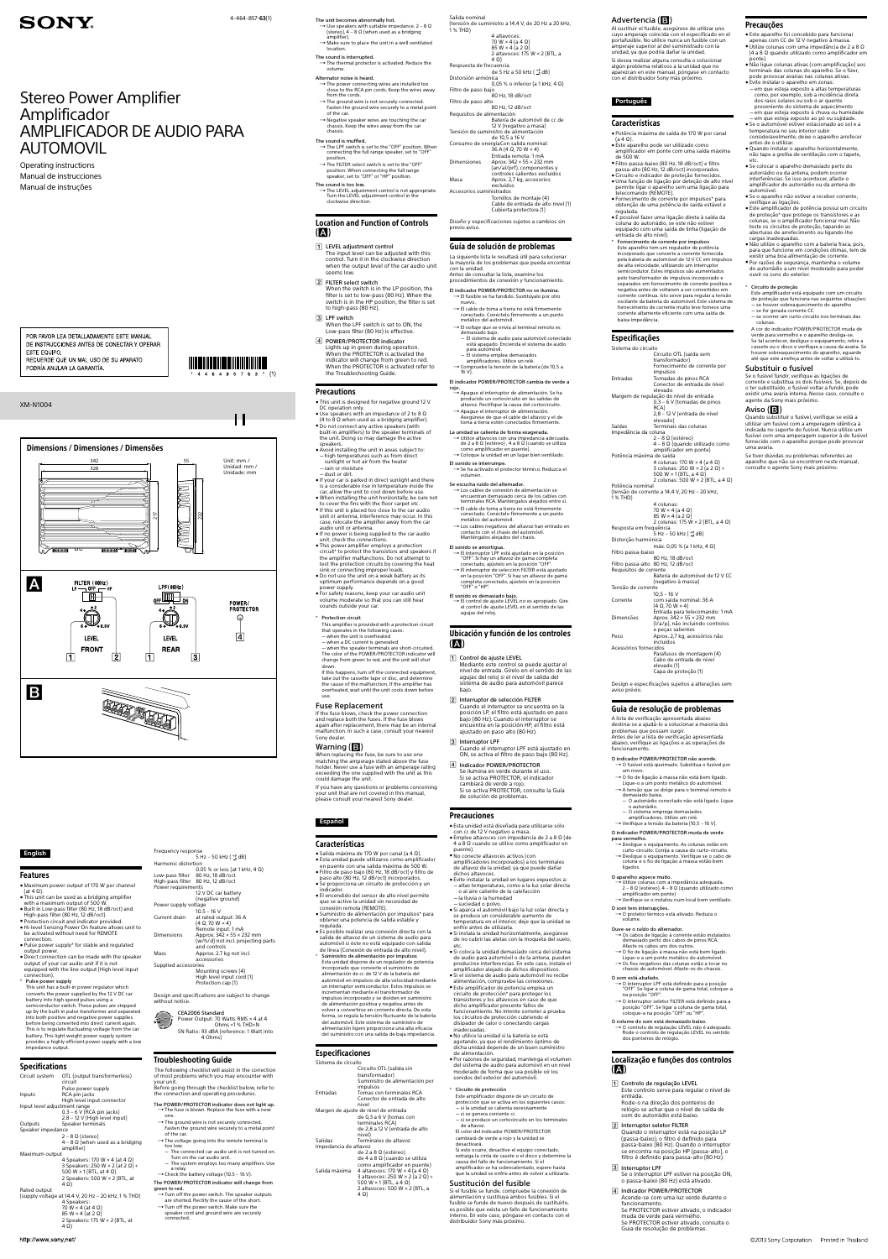#### **English**

#### Features

 $\bullet$  Maximum power output of 170 W per channel (at 4  $\Omega$ ).

- ˎˎ This unit can be used as a bridging amplifier with a maximum output of 500 W.
- ˎˎ Built in Low-pass filter (80 Hz, 18 dB/oct) and High-pass filter (80 Hz, 12 dB/oct).
- ˎˎ Protection circuit and indicator provided. ˎˎ Hi-level Sensing Power On feature allows unit to
- be activated without need for REMOTE connection. ˎˎ Pulse power supply\* for stable and regulated
- output power. ˎˎ Direct connection can be made with the speaker
- output of your car audio unit if it is not equipped with the line output (High level input connection).
- \* Pulse power supply

This unit has a built-in power regulator which converts the power supplied by the 12 V DC car battery into high speed pulses using a semiconductor switch. These pulses are stepped up by the built-in pulse transformer and separated into both positive and negative power supplies before being converted into direct current again. This is to regulate fluctuating voltage from the car battery. This light weight power supply system provides a highly efficient power supply with a low impedance output.

## Specifications

Design and specifications are subject to change without notice

The following checklist will assist in the correction of most problems which you may encounter with your unit. Before going through the checklist below, refer to the connection and operating procedures. The POWER/PROTECTOR indicator does not light up.  $\rightarrow$  The fuse is blown. Replace the fuse with a new one.  $\rightarrow$  The ground wire is not securely connected. Fasten the ground wire securely to a metal point of the car.  $\rightarrow$  The voltage going into the remote terminal is too low. - The connected car audio unit is not turned on. Turn on the car audio unit. ˋ The system employs too many amplifiers. Use a relay.  $\rightarrow$  Check the battery voltage (10.5 - 16 V). The POWER/PROTECTOR indicator will change from green to red.  $\rightarrow$  Turn off the power switch. The speaker outputs

| Circuit system                                      | OTL (output transformerless)<br>circuit               |
|-----------------------------------------------------|-------------------------------------------------------|
|                                                     | Pulse power supply                                    |
| Inputs                                              | RCA pin jacks                                         |
|                                                     | High level input connector                            |
| Input level adjustment range                        |                                                       |
|                                                     | $0.3 - 6$ V (RCA pin jacks)                           |
|                                                     |                                                       |
|                                                     | 2.8 - 12 V (High level input)                         |
| Outputs                                             | Speaker terminals                                     |
| Speaker impedance                                   |                                                       |
|                                                     | $2 - 8 \Omega$ (stereo)                               |
|                                                     | $4 - 8 \Omega$ (when used as a bridging<br>amplifier) |
| Maximum output                                      |                                                       |
|                                                     | 4 Speakers: 170 W $\times$ 4 (at 4 $\Omega$ )         |
|                                                     | 3 Speakers: 250 W $\times$ 2 (at 2 $\Omega$ ) +       |
|                                                     | 500 W $\times$ 1 (BTL, at 4 $\Omega$ )                |
|                                                     | 2 Speakers: 500 W $\times$ 2 (BTL, at                 |
|                                                     | 4Ω)                                                   |
|                                                     |                                                       |
| Rated output                                        |                                                       |
| (supply voltage at 14.4 V, 20 Hz – 20 kHz, 1 % THD) |                                                       |
|                                                     | 4 Speakers:                                           |
|                                                     | 70 W $\times$ 4 (at 4 $\Omega$ )                      |
|                                                     | $85 W \times 4$ (at $2 \Omega$ )                      |
|                                                     | 2 Speakers: 175 W $\times$ 2 (BTL, at                 |
|                                                     | 4Ω)                                                   |
|                                                     |                                                       |

 $\rightarrow$  Make sure to place the unit in a well ventilated location.

Frequency response 5 Hz – 50 kHz ( $^{+0}_{-3}$  dB) Harmonic distortion 0.05 % or less (at 1 kHz, 4 Ω) Low-pass filter 80 Hz, 18 dB/oct High-pass filter 80 Hz, 12 dB/oct Power requirements 12 V DC car battery (negative ground) Power supply voltage  $10.5 - 16 V$ Current drain at rated output: 36 A (4 Ω, 70 W × 4) Remote input: 1 mA Dimensions Approx.  $342 \times 55 \times 232$  mm (w/h/d) not incl. projecting parts and controls Mass **Approx.** 2.7 kg not incl. accessories Supplied accessories Mounting screws (4) High level input cord (1) Protection cap (1)

## Location and Function of Controls  $(A)$

CEA2006 Standard Power Output: 70 Watts RMS × 4 at 4 Ohms <1 % THD+N SN Ratio: 93 dBA (reference: 1 Watt into 4 Ohms)

## Troubleshooting Guide

- 1 LEVEL adjustment control The input level can be adjusted with this control. Turn it in the clockwise direction when the output level of the car audio unit seems low.
- **2** FILTER select switch When the switch is in the LP position, the filter is set to low-pass (80 Hz). When the switch is in the HP position, the filter is set to high-pass (80 Hz).
- 3 LPF switch When the LPF switch is set to ON, the Low-pass filter (80 Hz) is effective.
- 4 POWER/PROTECTOR indicator Lights up in green during operation. When the PROTECTOR is activated the indicator will change from green to red. When the PROTECTOR is activated refer to the Troubleshooting Guide.

- This unit is designed for negative ground 12 V DC operation only.
- $\bullet$  Use speakers with an impedance of 2 to 8  $\Omega$ (4 to 8  $\Omega$  when used as a bridging amplifier).
- ˎˎ Do not connect any active speakers (with built-in amplifiers) to the speaker terminals of the unit. Doing so may damage the active speakers.
- Avoid installing the unit in areas subject to: - high temperatures such as from direct sunlight or hot air from the heater
- $-$ rain or moisture  $-$  dust or dirt.
- ˎˎ If your car is parked in direct sunlight and there is a considerable rise in temperature inside the car, allow the unit to cool down before use.
- ˎˎ When installing the unit horizontally, be sure not to cover the fins with the floor carpet etc.
- ˎˎ If this unit is placed too close to the car audio unit or antenna, interference may occur. In this case, relocate the amplifier away from the car audio unit or antenna.
- ˎˎ If no power is being supplied to the car audio unit, check the connections.
- $\bullet$  This power amplifier employs a protection circuit\* to protect the transistors and speakers if the amplifier malfunctions. Do not attempt to test the protection circuits by covering the heat sink or connecting improper loads. • Do not use the unit on a weak battery as its
- optimum performance depends on a good nower supply. ● For safety reasons, keep your car audio unit
- volume moderate so that you can still hear sounds outside your car. **Protection circuit**
- This amplifier is provided with a protection circuit that operates in the following cases:

are shorted. Rectify the cause of the short.  $\rightarrow$  Turn off the power switch. Make sure the speaker cord and ground wire are securely connected.

- when the unit is overheated - when a DC current is generated - when the speaker terminals are short-circuited. The color of the POWER/PROTECTOR indicator will change from green to red, and the unit will shut down.

The unit becomes abnormally hot.  $\rightarrow$  Use speakers with suitable impedance. 2 – 8  $\Omega$ (stereo),  $4 - 8 \Omega$  (when used as a bridging amplifier).

The sound is interrupted.  $\rightarrow$  The thermal protector is activated. Reduce the volume.

When replacing the fuse, be sure to use one matching the amperage stated above the fuse holder. Never use a fuse with an amperage rating exceeding the one supplied with the unit as this could damage the unit. If you have any questions or problems concerning your unit that are not covered in this manual, please consult your nearest Sony dealer.

- Alternator noise is heard.  $\rightarrow$  The power connecting wires are installed too close to the RCA pin cords. Keep the wires away from the cords.
- → The ground wire is not securely connected. Fasten the ground wire securely to a metal point of the car.
- $\rightarrow$  Negative speaker wires are touching the car chassis. Keep the wires away from the car chassis.
- The sound is muffled.
- <del>→ The LPF switch is set to the "OFF" position. When</del> connecting the full range speaker, set to "OFF" position.  $\rightarrow$  The FILTER select switch is set to the "OFF"
- position. When connecting the full range speaker, set to "OFF" or "HP" position. The sound is too low.
- → The LEVEL adjustment control is not appropriate. Turn the LEVEL adjustment control in the clockwise direction.

- Salida máxima de 170 W por canal (a 4 Ω). ˎˎ Esta unidad puede utilizarse como amplificador en puente con una salida máxima de 500 W. ˎˎ Filtro de paso bajo (80 Hz, 18 dB/oct) y filtro de paso alto (80 Hz, 12 dB/oct) incorporados. ˎˎ Se proporciona un circuito de protección y un
- indicador. ˎˎ El encendido del sensor de alto nivel permite que se active la unidad sin necesidad de
- conexión remota (REMOTE). ˎˎ Suministro de alimentación por impulsos\* para obtener una potencia de salida estable y regulada.
- ˎˎ Es posible realizar una conexión directa con la salida de altavoz de un sistema de audio para automóvil si éste no está equipado con salida
- de línea (Conexión de entrada de alto nivel). Suministro de alimentación por impulsos Esta unidad dispone de un regulador de potencia incorporado que convierte el suministro de alimentación de cc de 12 V de la batería del automóvil en impulsos de alta velocidad mediante un interruptor semiconductor. Estos impulsos se incrementan mediante el transformador de impulsos incorporado y se dividen en suministro de alimentación positiva y negativa antes de volver a convertirse en corriente directa. De esta forma, se regula la tensión fluctuante de la batería del automóvil. Este sistema de suministro de alimentación ligero proporciona una alta eficacia del suministro con una salida de baja impedancia.

#### Precautions

 $(1)$ 

 $\mathsf{H}% _{0}\left( \mathcal{M}_{0}\right) =\mathsf{H}_{0}\left( \mathcal{M}_{0}\right)$ 

85 W  $\times$  4 (a 2 Ω)  $2$  altavoces: 175 W  $\times$  2 (BTL, a 4 Ω) Respuesta de frecuencia de 5 Hz a 50 kHz  $\binom{+0}{-3}$ dB) Distorsión armónica 0,05 % o inferior (a 1 kHz, 4 Ω) Filtro de paso bajo 80 Hz, 18 dB/oct Filtro de paso alto 80 Hz, 12 dB/oct Requisitos de alimentación Batería de automóvil de cc de 12 V (negativo a masa) Tensión de suministro de alimentación de 10,5 a 16 V Consumo de energíaCon salida nominal:  $36 A (4 Ω. 70 W × 4)$ Entrada remota: 1 mA Dimensiones Aprox. 342 × 55 × 232 mm (an/al/prf), componentes y controles salientes excluidos Masa Aprox. 2,7 kg, accesorios excluidos Accesorios suministrados

- El indicador POWER/PROTECTOR no se ilumina.  $\rightarrow$  El fusible se ha fundido. Sustitúvalo por otro
- nuevo.  $\rightarrow$  El cable de toma a tierra no está firmemente conectado. Conéctelo firmemente a un punto metálico del automóvil.
- $\rightarrow$  El voltaje que se envía al terminal remoto es demasiado bajo.
- ˋ El sistema de audio para automóvil conectado está apagado. Encienda el sistema de audio para automóvil. ˋ El sistema emplea demasiados
- amplificadores. Utilice un relé. → Compruebe la tensión de la batería (de 10,5 a

- → El cable de toma a tierra no está firmemente conectado. Conéctelo firmemente a un punto metálico del automóvil.  $\rightarrow$  Los cables negativos del altavoz han entrado en
- contacto con el chasis del automóvil. Manténgalos alejados del chasis. El sonido se amortigua.
- El interruptor LPF está ajustado en la posición "OFF". Si hay un altavoz de gama completa conectado, ajústelo en la posición "OFF". El interruptor de selección FILTER está ajustado en la posición "OFF". Si hay un altavoz de gama completa conectado, ajústelo en la posición
- "OFF" o "HP". El sonido es demasiado bajo.  $\rightarrow$  El control de ajuste LEVEL no es apropiado. Gire el control de ajuste LEVEL en el sentido de las agujas del reloj.

 $(\blacktriangle)$ 

If this happens, turn off the connected equipment, take out the cassette tape or disc, and determine the cause of the malfunction. If the amplifier has overheated, wait until the unit cools down before use.

#### Fuse Replacement

If the fuse blows, check the power connection and replace both the fuses. If the fuse blows again after replacement, there may be an internal malfunction. In such a case, consult your nearest Sony dealer.

#### Warning  $(B)$

Este amplificador dispone de un circuito de protección que se activa en los siguientes casos: - si la unidad se calienta excesivamente

## **Español**

#### Características

#### Especificaciones

- Sistema de circuito Circuito OTL (salida sin transformador) Suministro de alimentación por impulsos Entradas Tomas con terminales RCA Conector de entrada de alto nivel Margen de ajuste de nivel de entrada de 0,3 a 6 V (tomas con terminales RCA) de 2,8 a 12 V (entrada de alto nivel) Salidas Terminales de altavoz Impedancia de altavoz de 2 a 8 Ω (estéreo) de 4 a 8 Ω (cuando se utiliza como amplificador en puente) Salida máxima 4 altavoces: 170 W × 4 (a 4  $\Omega$ ) 3 altavoces: 250 W × 2 (a 2 Ω) + 500 W × 1 (BTL, a 4 Ω)
	- 2 altavoces: 500 W × 2 (BTL, a 4 Ω)

Aprox. 2,7 kg, acessórios não incluídos Acessórios fornecidos Parafusos de montagem (4) Cabo de entrada de nível elevado (1) Capa de proteção (1)

Salida nominal (tensión de suministro a 14,4 V, de 20 Hz a 20 kHz, 1 % THD) 4 altavoces: 70 W × 4 (a 4 Ω)

- → O fusível está queimado. Substitua o fusível por um novo. O fio de ligação à massa não está bem ligado.
- Ligue-o a um ponto metálico do automóvel. A tensão que se dirige para o terminal remoto é
- demasiado baixa. ˋ O autorrádio conectado não está ligado. Ligue
- o autorrádio. ˋ O sistema emprega demasiados
- amplificadores. Utilize um relé.
- Verifique a tensão da bateria (10,5 16 V).

 $\rightarrow$  Desligue o equipamento. As colunas estão em curto-circuito. Corrija a causa do curto-circuito. → Desligue o equipamento. Verifique se o cabo de coluna e o fio de ligação à massa estão bem ligados.

- $\rightarrow$  Utilize colunas com a impedância adequada. 2 – 8 Ω (estéreo), 4 – 8 Ω (quando utilizado como amplificador em ponte)
- Verifique se o instalou num local bem ventilado. O som tem interrupções.

#### → O protetor térmico está ativado. Reduza o volume.

Tornillos de montaje (4) Cable de entrada de alto nivel (1) Cubierta protectora (1)

Diseño y especificaciones sujetos a cambios sin previo aviso.

#### Guía de solución de problemas

La siguiente lista le resultará útil para solucionar la mayoría de los problemas que pueda encontrar con la unidad. Antes de consultar la lista, examine los procedimientos de conexión y funcionamiento.

> → O controlo de regulação LEVEL não é adequado. Rode o controlo de regulação LEVEL no sentido dos ponteiros do relógio.

### Localização e funções dos controlos  $(A)$

- $\boxed{1}$  Controlo de regulação LEVEL Este controlo serve para regular o nível de entrada. Rode-o na direção dos ponteiros do
- relógio se achar que o nível de saída de som do autorrádio está baixo.

#### 2 Interruptor seletor FILTER Quando o interruptor está na posição LP (passa-baixo), o filtro é definido para passa-baixo (80 Hz). Quando o interruptor se encontra na posição HP (passa-alto), o filtro é definido para passa-alto (80 Hz).

#### 3 Interruptor LPF

#### 16 V). El indicador POWER/PROTECTOR cambia de verde a

- rojo. **.**<br>→ Apague el interruptor de alimentación. Se ha producido un cortocircuito en las salidas de altavoz. Rectifique la causa del cortocircuito. Apague el interruptor de alimentación.
- Asegúrese de que el cable del altavoz y el de toma a tierra estén conectados firm La unidad se calienta de forma exagerada.
- Utilice altavoces con una impedancia adecuada.
- de 2 a 8 Ω (estéreo) , 4 a 8 Ω (cuando se utiliza como amplificador en puente). Coloque la unidad en un lugar bien ventilado.
- El sonido se interrumpe. → Se ha activado el protector térmico. Reduzca el volumen.

Este amplificador está equipado com um circuito de proteção que funciona nas seguintes situações:  $\overline{\phantom{a}}$  se houver sobreaquecimento do aparelho

Se escucha ruido del alternador. Los cables de conexión de alimentación se encuentran demasiado cerca de los cables con terminales RCA. Manténgalos alejados entre sí.

- se for gerada corrente CC
- se ocorrer um curto-circuito nos terminais das colunas.

Ubicación y función de los controles

Mediante este control se puede ajustar el nivel de entrada. Gírelo en el sentido de las agujas del reloj si el nivel de salida del sistema de audio para automóvil parece

bajo.

3 Interruptor LPF

Cuando el interruptor se encuentra en la posición LP, el filtro está ajustado en paso bajo (80 Hz). Cuando el interruptor se encuentra en la posición HP, el filtro está

ajustado en paso alto (80 Hz).

Cuando el interruptor LPF está ajustado en ON, se activa el filtro de paso bajo (80 Hz).

 Indicador POWER/PROTECTOR Se ilumina en verde durante el uso. Si se activa PROTECTOR, el indicador

cambiará de verde a rojo.

Si se activa PROTECTOR, consulte la Guía

de solución de problemas.

Precauciones

ˎˎ Esta unidad está diseñada para utilizarse sólo

con cc de 12 V negativo a masa.

 $\bullet$  No conecte altavoces activos (con

ˎˎ Emplee altavoces con impedancia de 2 a 8 Ω (de 4 a 8 Ω cuando se utilice como amplificador en

puente).

amplificadores incorporados) a los terminales de altavoz de la unidad, ya que puede dañar

dichos altavoces.

-la lluvia o la humedad  $-$  suciedad o polvo.

ˎˎ Evite instalar la unidad en lugares expuestos a: - altas temperaturas, como a la luz solar directa o al aire caliente de la calefacción

ˎˎ Si aparca el automóvil bajo la luz solar directa y se produce un considerable aumento de temperatura en el interior, deje que la unidad se

enfríe antes de utilizarla.

ˎˎ Si instala la unidad horizontalmente, asegúrese de no cubrir las aletas con la moqueta del suelo,

etc.

ˎˎ Si coloca la unidad demasiado cerca del sistema de audio para automóvil o de la antena, pueden producirse interferencias. En este caso, instale el amplificador alejado de dichos dispositivos. ˎˎ Si el sistema de audio para automóvil no recibe alimentación, compruebe las conexiones. ˎˎ Este amplificador de potencia emplea un circuito de protección\* para proteger los transistores y los altavoces en caso de que dicho amplificador presente fallos de funcionamiento. No intente someter a prueba los circuitos de protección cubriendo el disipador de calor o conectando cargas

inadecuadas.

ˎˎ No utilice la unidad si la batería se está agotando, ya que el rendimiento óptimo de dicha unidad depende de un buen suministro

de alimentación.

ˎˎ Por razones de seguridad, mantenga el volumen del sistema de audio para automóvil en un nivel moderado de forma que sea posible oír los sonidos del exterior del automóvil.

\* Circuito de protección

de altavoz.

El color del indicador POWER/PROTECTOR cambiará de verde a rojo y la unidad se

desactivará.

- si se genera corriente cc

1 Control de ajuste LEVEL

2 Interruptor de selección FILTER

Si esto ocurre, desactive el equipo conectado, extraiga la cinta de casete o el disco y determine la

- si se produce un cortocircuito en los terminales

## Advertencia ( $\Box$ )

causa del fallo de funcionamiento. Si el amplificador se ha sobrecalentado, espere hasta que la unidad se enfríe antes de volver a utilizarla.

#### Sustitución del fusible Si el fusible se funde, compruebe la conexión de alimentación y sustituya ambos fusibles. Si el fusible se funde de nuevo después de sustituirlo, es posible que exista un fallo de funcionamiento interno. En este caso, póngase en contacto con el distribuidor Sony más próximo.

Al sustituir el fusible, asegúrese de utilizar uno cuyo amperaje coincida con el especificado en el portafusible. No utilice nunca un fusible con un amperaje superior al del suministrado con la unidad, ya que podría dañar la unidad. Si desea realizar alguna consulta o solucionar algún problema relativos a la unidad que no aparezcan en este manual, póngase en contacto con el distribuidor Sony más próximo.

## **Português**

#### Características

- ˎˎ Potência máxima de saída de 170 W por canal (a 4 Ω).
- $\bullet$  Este aparelho pode ser utilizado como amplificador em ponte com uma saída máxima de 500 W.
- ˎˎ Filtro passa-baixo (80 Hz, 18 dB/oct) e filtro passa-alto (80 Hz, 12 dB/oct) incorporados. ˎˎ Circuito e indicador de proteção fornecidos. ˎˎ Uma função de ligação por deteção de alto nível permite ligar o aparelho sem uma ligação para
- telecomando (REMOTE). ˎˎ Fornecimento de corrente por impulsos\* para obtenção de uma potência de saída estável e regulada.
- $\bullet$  É possível fazer uma ligação direta à saída da coluna do autorrádio, se este não estiver equipado com uma saída de linha (ligação de entrada de alto nível).
- \* Fornecimento de corrente por impulsos Este aparelho tem um regulador de potência incorporado que converte a corrente fornecida pela bateria de automóvel de 12 V CC em impulsos de alta velocidade, utilizando um interruptor semicondutor. Estes impulsos são aumentados pelo transformador de impulsos incorporado e separados em fornecimento de corrente positiva e negativa antes de voltarem a ser convertidos em corrente contínua. Isto serve para regular a tensão oscilante da bateria do automóvel. Este sistema de fornecimento de corrente muito leve fornece uma corrente altamente eficiente com uma saída de

baixa impedância.

## Especificações

Sistema do circuito Circuito OTL (saída sem transformador) Fornecimento de corrente por impulsos Entradas Tomadas de pinos RCA Conector de entrada de nível elevado Margem de regulação do nível de entrada 0,3 – 6 V (tomadas de pinos RCA) 2,8 – 12 V (entrada de nível elevado) Saídas Terminais das colunas Impedância da coluna 2 – 8 Ω (estéreo)  $4 - 8 \Omega$  (quando utilizado como amplificador em ponte) Potência máxima de saída 4 colunas: 170 W  $\times$  4 (a 4  $\Omega$ ) 3 colunas: 250 W × 2 (a 2 Ω) + 500 W  $\times$  1 (BTL, a 4 Ω) 2 colunas: 500 W × 2 (BTL, a 4 Ω) Potência nominal (tensão de corrente a 14,4 V, 20 Hz – 20 kHz, 1 % THD) 4 colunas: 70 W × 4 (a 4 Ω) 85 W × 4 (a 2 Ω) 2 colunas: 175 W × 2 (BTL, a 4 Ω) Resposta em frequência 5 Hz – 50 kHz ( $^{+0}_{-3}$  dB) Distorção harmónica máx. 0,05 % (a 1 kHz, 4 Ω) Filtro passa-baixo 80 Hz, 18 dB/oct Filtro passa-alto 80 Hz, 12 dB/oct Requisitos de corrente Bateria de automóvel de 12 V CC (negativo à massa) Tensão de corrente 10,5 – 16 V Corrente com saída nominal: 36 A  $(4 \Omega, 70 W \times 4)$ Entrada para telecomando: 1 mA Dimensões Aprox. 342 × 55 × 232 mm (l/a/p), não incluindo controlos e peças salientes

Design e especificações sujeitos a alterações sem aviso prévio.

#### Guia de resolução de problemas

A lista de verificação apresentada abaixo destina-se a ajudá-lo a solucionar a maioria dos problemas que possam surgir. Antes de ler a lista de verificação apresentada abaixo, verifique as ligações e as operações de funcionamento.

#### O indicador POWER/PROTECTOR não acende.

#### O indicador POWER/PROTECTOR muda de verde para vermelho.

#### O aparelho aquece muito.

- 
- Ouve-se o ruído do alternador. Os cabos de ligação à corrente estão instalados demasiado perto dos cabos de pinos RCA.
- Afaste os cabos uns dos outros.  $\rightarrow$  O fio de ligação à massa não está bem ligado.
- Ligue-o a um ponto metálico do automóvel. Os fios negativos das colunas estão a tocar no chassis do automóvel. Afaste-os do chassis.
- O som está abafado.
- → O interruptor LPF está definido para a posição "OFF". Se ligar a coluna de gama total, coloque-a na posição "OFF".
- O interruptor seletor FILTER está definido para a posição "OFF". Se ligar a coluna de gama total, coloque-a na posição "OFF" ou "HP".

#### O volume do som está demasiado baixo.

- Se o interruptor LPF estiver na posição ON, o passa-baixo (80 Hz) está ativado.
- Indicador POWER/PROTECTOR
- Acende-se com uma luz verde durante o funcionamento. Se PROTECTOR estiver ativado, o indicador muda de verde para vermelho. Se PROTECTOR estiver ativado, consulte o Guia de resolução de problemas.

## Precauções

- ˎˎ Este aparelho foi concebido para funcionar apenas com CC de 12 V negativo à massa. ˎˎ Utilize colunas com uma impedância de 2 a 8 Ω
- (4 a 8 Ω quando utilizado como amplificador em ponte).
- ˎˎ Não ligue colunas ativas (com amplificação) aos terminais das colunas do aparelho. Se o fizer, pode provocar avarias nas colunas ativas.  $\bullet$  Evite instalar o aparelho em zonas:
- em que esteja exposto a altas temperaturas como, por exemplo, sob a incidência direta dos raios solares ou sob o ar quente proveniente do sistema de aquecimento ˋem que esteja exposto à chuva ou humidade ˋem que esteja exposto ao pó ou sujidade.
- ˎˎ Se o automóvel estiver estacionado ao sol e a temperatura no seu interior subir consideravelmente, deixe o aparelho arrefecer
- antes de o utilizar. ˎˎ Quando instalar o aparelho horizontalmente, não tape a grelha de ventilação com o tapete,
- etc. ˎˎ Se colocar o aparelho demasiado perto do autorrádio ou da antena, podem ocorrer interferências. Se isso acontecer, afaste o amplificador do autorrádio ou da antena do automóvel.
- ˎˎ Se o aparelho não estiver a receber corrente, verifique as ligações.
- ˎˎ Este amplificador de potência possui um circuito de proteção\* que protege os transístores e as colunas, se o amplificador funcionar mal. Não teste os circuitos de proteção, tapando as aberturas de arrefecimento ou ligando-lhe cargas inadequadas.
- ˎˎ Não utilize o aparelho com a bateria fraca, pois, para que funcione em condições ótimas, tem de existir uma boa alimentação de corrente. ˎˎ Por razões de segurança, mantenha o volume do autorrádio a um nível moderado para poder ouvir os sons do exterior.

#### \* Circuito de proteção

A cor do indicador POWER/PROTECTOR muda de verde para vermelho e o aparelho desliga-se. Se tal acontecer, desligue o equipamento, retire a cassete ou o disco e verifique a causa da avaria. Se houver sobreaquecimento do aparelho, aguarde até que este arrefeça antes de voltar a utilizá-lo.

#### Substituir o fusível

Se o fusível fundir, verifique as ligações de corrente e substitua os dois fusíveis. Se, depois de o ter substituído, o fusível voltar a fundir, pode existir uma avaria interna. Nesse caso, consulte o agente da Sony mais próximo.

## Aviso  $(\mathbf{B})$

Quando substituir o fusível, verifique se está a utilizar um fusível com a amperagem idêntica à indicada no suporte do fusível. Nunca utilize um fusível com uma amperagem superior à do fusível fornecido com o aparelho porque pode provocar uma avaria.

Se tiver dúvidas ou problemas referentes ao aparelho que não se encontrem neste manual, consulte o agente Sony mais próximo.

## Dimensions / Dimensiones / Dimensões



## **SONY**

4-464-857-**63**(1)

Operating instructions Manual de instrucciones Manual de instruções

POR FAVOR LEA DETALLADAMENTE ESTE MANUAL DE INSTRUCCIONES ANTES DE CONECTAR Y OPERAR ESTE EQUIPO. RECUERDE QUE UN MAL USO DE SU APARATO PODRÍA ANULAR LA GARANTÍA.



#### XM-N1004

## Stereo Power Amplifier Amplificador AMPLIFICADOR DE AUDIO PARA AUTOMOVIL